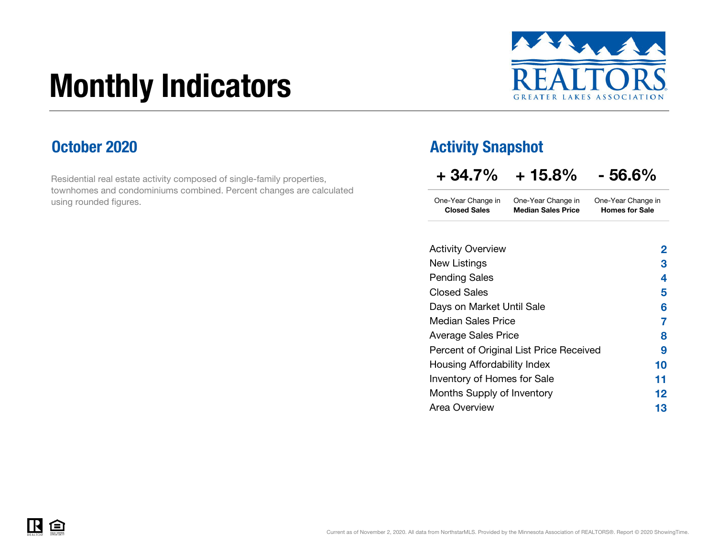# Monthly Indicators



### October 2020

Residential real estate activity composed of single-family properties, townhomes and condominiums combined. Percent changes are calculated using rounded figures.

### Activity Snapshot

| $+34.7\%$ | $+15.8\%$ | $-56.6%$ |
|-----------|-----------|----------|
|           |           |          |

One-Year Change in One-Year Change in Closed Sales Median Sales PriceOne-Year Change in Homes for Sale

| <b>Activity Overview</b>                | 2  |
|-----------------------------------------|----|
| New Listings                            | З  |
| <b>Pending Sales</b>                    | 4  |
| <b>Closed Sales</b>                     | 5  |
| Days on Market Until Sale               | 6  |
| <b>Median Sales Price</b>               | 7  |
| <b>Average Sales Price</b>              | 8  |
| Percent of Original List Price Received | 9  |
| Housing Affordability Index             | 10 |
| Inventory of Homes for Sale             | 11 |
| Months Supply of Inventory              | 12 |
| Area Overview                           | 13 |
|                                         |    |

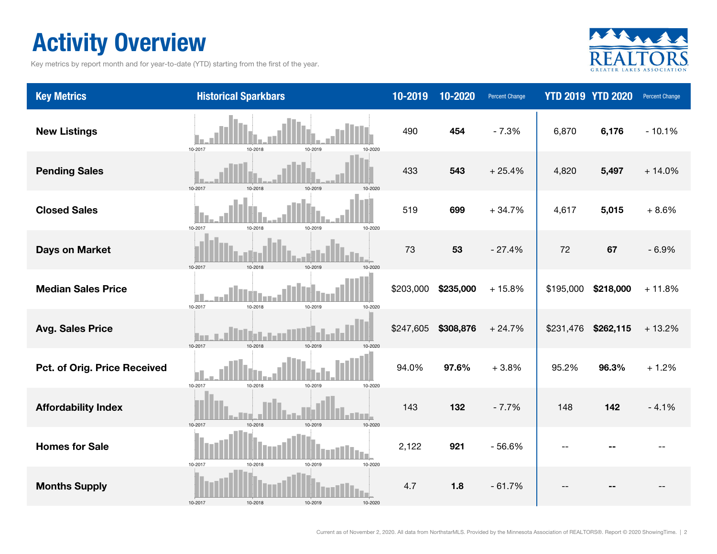## Activity Overview

Key metrics by report month and for year-to-date (YTD) starting from the first of the year.



| <b>Key Metrics</b>           | <b>Historical Sparkbars</b>                  | 10-2019   | 10-2020   | Percent Change |           | <b>YTD 2019 YTD 2020</b> | <b>Percent Change</b> |
|------------------------------|----------------------------------------------|-----------|-----------|----------------|-----------|--------------------------|-----------------------|
| <b>New Listings</b>          | 10-2017<br>10-2018<br>10-2019<br>10-2020     | 490       | 454       | $-7.3%$        | 6,870     | 6,176                    | $-10.1%$              |
| <b>Pending Sales</b>         | 10-2017<br>$10 - 2018$<br>10-2019<br>10-2020 | 433       | 543       | $+25.4%$       | 4,820     | 5,497                    | $+14.0%$              |
| <b>Closed Sales</b>          | 10-2017<br>10-2019<br>10-2020<br>10-2018     | 519       | 699       | $+34.7%$       | 4,617     | 5,015                    | $+8.6%$               |
| Days on Market               | 10-2017<br>10-2018<br>10-2019                | 73        | 53        | $-27.4%$       | 72        | 67                       | $-6.9%$               |
| <b>Median Sales Price</b>    | 10-2017<br>10-2018<br>10-2019<br>10-2020     | \$203,000 | \$235,000 | $+15.8%$       | \$195,000 | \$218,000                | $+11.8%$              |
| <b>Avg. Sales Price</b>      | 10-2017<br>10-2018<br>10-2019<br>10-2020     | \$247,605 | \$308,876 | $+24.7%$       | \$231,476 | \$262,115                | $+13.2%$              |
| Pct. of Orig. Price Received | 10-2017<br>10-2018<br>10-2019<br>10-2020     | 94.0%     | 97.6%     | $+3.8%$        | 95.2%     | 96.3%                    | $+1.2%$               |
| <b>Affordability Index</b>   | 10-2017<br>10-2018<br>10-2019<br>10-2020     | 143       | 132       | $-7.7%$        | 148       | 142                      | $-4.1%$               |
| <b>Homes for Sale</b>        | 10-2019<br>10-2017<br>10-2018<br>10-2020     | 2,122     | 921       | $-56.6%$       |           |                          |                       |
| <b>Months Supply</b>         | 10-2017<br>10-2018<br>10-2019<br>10-2020     | 4.7       | 1.8       | $-61.7%$       |           |                          |                       |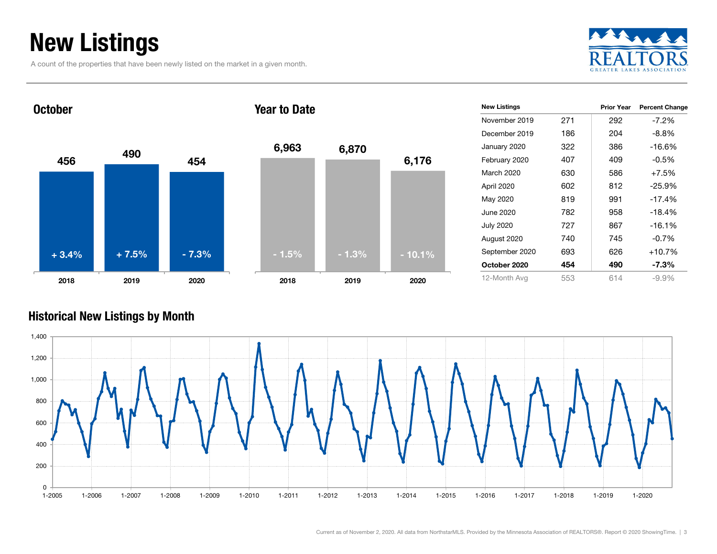## New Listings

A count of the properties that have been newly listed on the market in a given month.





| 6,963   | 6,870   | 6,176    |
|---------|---------|----------|
| $-1.5%$ | $-1.3%$ | $-10.1%$ |
| 2018    | 2019    | 2020     |

| <b>New Listings</b> |     | <b>Prior Year</b> | <b>Percent Change</b> |
|---------------------|-----|-------------------|-----------------------|
| November 2019       | 271 | 292               | $-7.2\%$              |
| December 2019       | 186 | 204               | $-8.8\%$              |
| January 2020        | 322 | 386               | -16.6%                |
| February 2020       | 407 | 409               | $-0.5%$               |
| March 2020          | 630 | 586               | $+7.5%$               |
| April 2020          | 602 | 812               | $-25.9%$              |
| May 2020            | 819 | 991               | $-17.4%$              |
| June 2020.          | 782 | 958               | $-18.4%$              |
| <b>July 2020</b>    | 727 | 867               | $-16.1%$              |
| August 2020         | 740 | 745               | $-0.7%$               |
| September 2020      | 693 | 626               | $+10.7%$              |
| October 2020        | 454 | 490               | $-7.3\%$              |
| 12-Month Avg        | 553 | 614               | $-9.9\%$              |

#### Historical New Listings by Month

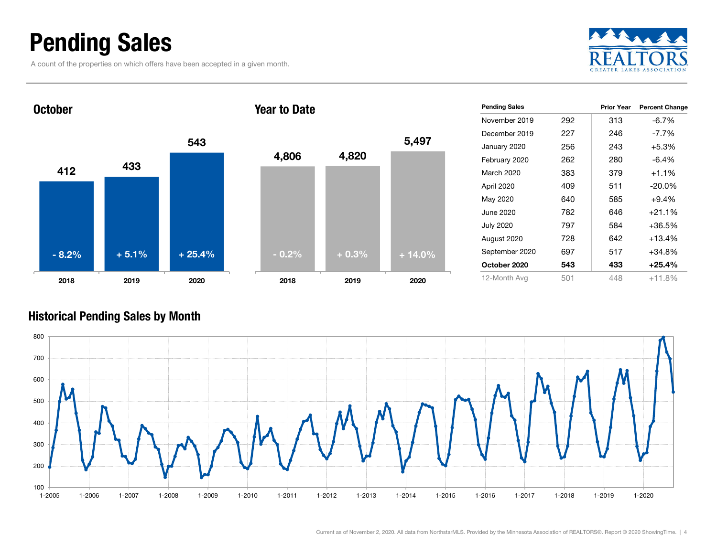### Pending Sales

A count of the properties on which offers have been accepted in a given month.





| <b>Pending Sales</b> |     | Prior Year | <b>Percent Change</b> |
|----------------------|-----|------------|-----------------------|
|                      |     |            |                       |
| November 2019        | 292 | 313        | $-6.7\%$              |
| December 2019        | 227 | 246        | $-7.7\%$              |
| January 2020         | 256 | 243        | $+5.3%$               |
| February 2020        | 262 | 280        | $-6.4\%$              |
| March 2020           | 383 | 379        | $+1.1\%$              |
| April 2020           | 409 | 511        | $-20.0\%$             |
| May 2020             | 640 | 585        | $+9.4%$               |
| June 2020            | 782 | 646        | $+21.1%$              |
| <b>July 2020</b>     | 797 | 584        | $+36.5\%$             |
| August 2020          | 728 | 642        | $+13.4%$              |
| September 2020       | 697 | 517        | $+34.8%$              |
| October 2020         | 543 | 433        | $+25.4%$              |
| 12-Month Avg         | 501 | 448        | $+11.8%$              |

#### Historical Pending Sales by Month

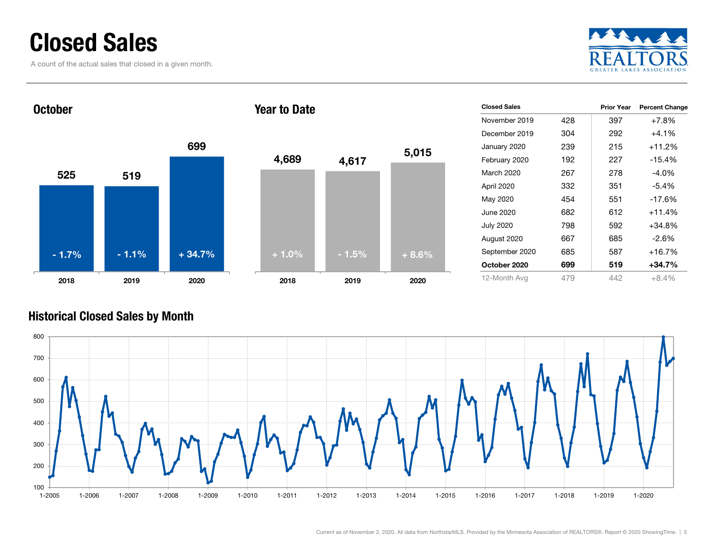### Closed Sales

A count of the actual sales that closed in a given month.



### 525 5196992018 2019 2020 **October** 2018Year to Date- 1.7% $-1.1\%$   $+34.7\%$

| 4,689   | 4,617   | 5,015   |
|---------|---------|---------|
|         |         |         |
| $+1.0%$ | $-1.5%$ | $+8.6%$ |
| 2018    | 2019    | 2020    |

| <b>Closed Sales</b> |     | Prior Year | <b>Percent Change</b> |
|---------------------|-----|------------|-----------------------|
| November 2019       | 428 | 397        | $+7.8%$               |
| December 2019       | 304 | 292        | $+4.1\%$              |
| January 2020        | 239 | 215        | $+11.2%$              |
| February 2020       | 192 | 227        | $-15.4%$              |
| March 2020          | 267 | 278        | $-4.0\%$              |
| April 2020          | 332 | 351        | -5.4%                 |
| May 2020            | 454 | 551        | $-17.6%$              |
| June 2020           | 682 | 612        | $+11.4%$              |
| <b>July 2020</b>    | 798 | 592        | $+34.8%$              |
| August 2020         | 667 | 685        | -2.6%                 |
| September 2020      | 685 | 587        | $+16.7%$              |
| October 2020        | 699 | 519        | $+34.7\%$             |
| 12-Month Avg        | 479 | 442        | $+8.4%$               |

#### Historical Closed Sales by Month

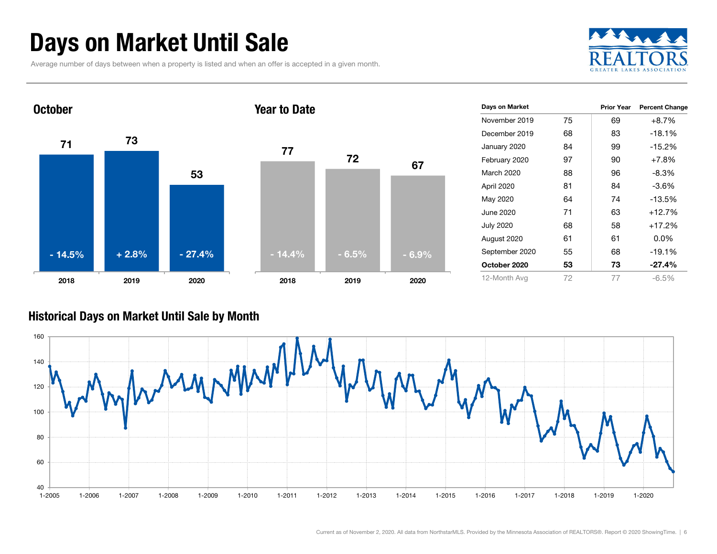## Days on Market Until Sale

Average number of days between when a property is listed and when an offer is accepted in a given month.





| Days on Market   |    | <b>Prior Year</b> | <b>Percent Change</b> |
|------------------|----|-------------------|-----------------------|
| November 2019    | 75 | 69                | $+8.7%$               |
| December 2019    | 68 | 83                | $-18.1%$              |
| January 2020     | 84 | 99                | $-15.2%$              |
| February 2020    | 97 | 90                | $+7.8%$               |
| March 2020       | 88 | 96                | -8.3%                 |
| April 2020       | 81 | 84                | -3.6%                 |
| May 2020         | 64 | 74                | $-13.5%$              |
| June 2020        | 71 | 63                | $+12.7%$              |
| <b>July 2020</b> | 68 | 58                | $+17.2%$              |
| August 2020      | 61 | 61                | $0.0\%$               |
| September 2020   | 55 | 68                | $-19.1%$              |
| October 2020     | 53 | 73                | $-27.4\%$             |
| 12-Month Avg     | 72 | 77                | $-6.5\%$              |

#### Historical Days on Market Until Sale by Month

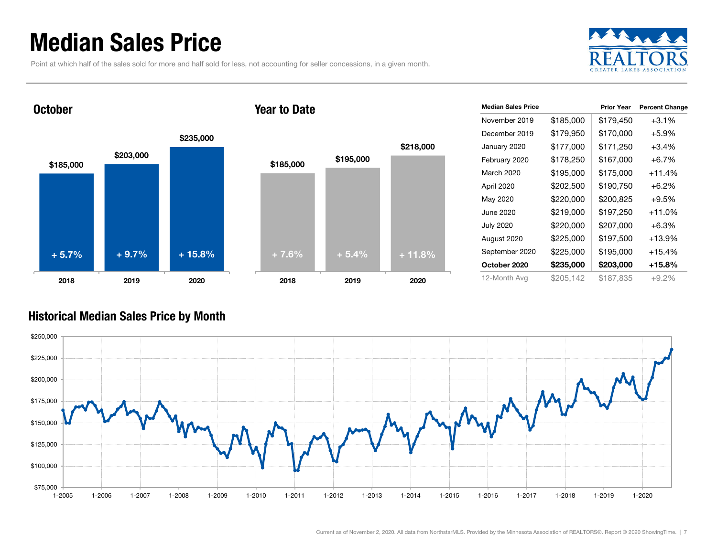### Median Sales Price

Point at which half of the sales sold for more and half sold for less, not accounting for seller concessions, in a given month.



#### October





| <b>Median Sales Price</b> |           | <b>Prior Year</b> | <b>Percent Change</b> |
|---------------------------|-----------|-------------------|-----------------------|
| November 2019             | \$185,000 | \$179,450         | $+3.1%$               |
| December 2019             | \$179,950 | \$170,000         | $+5.9%$               |
| January 2020              | \$177,000 | \$171,250         | $+3.4\%$              |
| February 2020             | \$178,250 | \$167,000         | $+6.7%$               |
| March 2020                | \$195,000 | \$175,000         | +11.4%                |
| April 2020                | \$202,500 | \$190,750         | $+6.2\%$              |
| May 2020                  | \$220,000 | \$200,825         | $+9.5%$               |
| June 2020                 | \$219,000 | \$197,250         | +11.0%                |
| <b>July 2020</b>          | \$220,000 | \$207,000         | $+6.3\%$              |
| August 2020               | \$225,000 | \$197,500         | +13.9%                |
| September 2020            | \$225,000 | \$195,000         | +15.4%                |
| October 2020              | \$235,000 | \$203,000         | +15.8%                |
| 12-Month Avg              | \$205,142 | \$187,835         | $+9.2%$               |

#### Historical Median Sales Price by Month

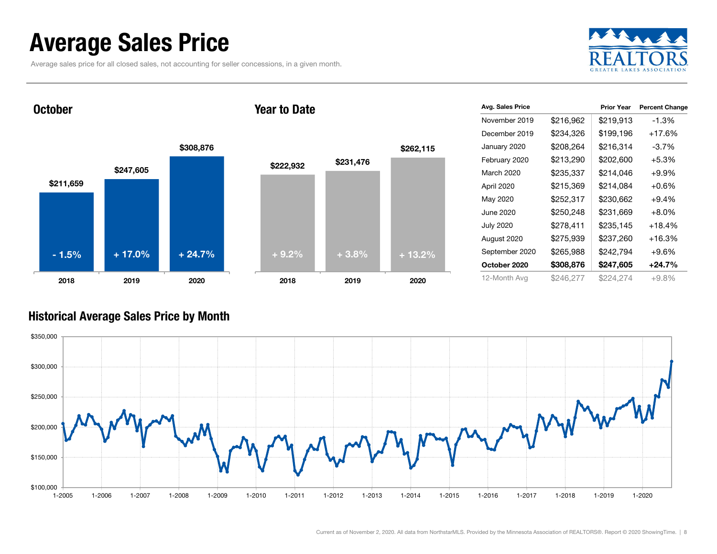### Average Sales Price

Average sales price for all closed sales, not accounting for seller concessions, in a given month.



**October** 

#### Year to Date



| Avg. Sales Price |           | <b>Prior Year</b> | <b>Percent Change</b> |
|------------------|-----------|-------------------|-----------------------|
| November 2019    | \$216,962 | \$219,913         | $-1.3%$               |
| December 2019    | \$234,326 | \$199,196         | $+17.6%$              |
| January 2020     | \$208,264 | \$216.314         | $-3.7\%$              |
| February 2020    | \$213,290 | \$202,600         | $+5.3%$               |
| March 2020       | \$235,337 | \$214,046         | $+9.9%$               |
| April 2020       | \$215,369 | \$214,084         | $+0.6%$               |
| May 2020         | \$252,317 | \$230,662         | $+9.4%$               |
| June 2020        | \$250,248 | \$231,669         | $+8.0%$               |
| <b>July 2020</b> | \$278,411 | \$235,145         | $+18.4%$              |
| August 2020      | \$275,939 | \$237,260         | $+16.3%$              |
| September 2020   | \$265,988 | \$242,794         | $+9.6%$               |
| October 2020     | \$308,876 | \$247,605         | $+24.7%$              |
| 12-Month Avg     | \$246,277 | \$224,274         | $+9.8\%$              |

#### Historical Average Sales Price by Month

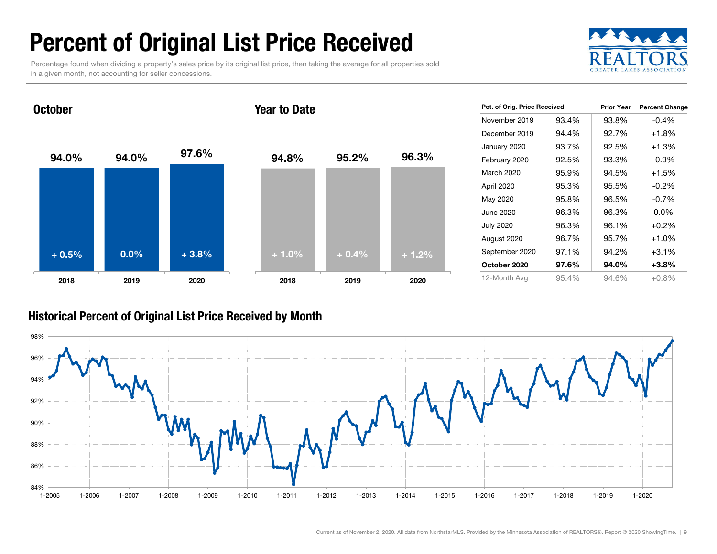## Percent of Original List Price Received

Percentage found when dividing a property's sales price by its original list price, then taking the average for all properties sold in a given month, not accounting for seller concessions.



94.0% 94.0% 97.6% 2018 2019 2020 October94.8% 95.2% 96.3% 2018 2019 2020 Year to Date+ 0.5% $\%$  0.0% + 3.8% + 1.0% + 1.0% + 0.4% + 1.2%

| Pct. of Orig. Price Received |       | <b>Prior Year</b> | <b>Percent Change</b> |
|------------------------------|-------|-------------------|-----------------------|
| November 2019                | 93.4% | 93.8%             | $-0.4%$               |
| December 2019                | 94.4% | 92.7%             | $+1.8%$               |
| January 2020                 | 93.7% | 92.5%             | $+1.3%$               |
| February 2020                | 92.5% | 93.3%             | $-0.9\%$              |
| March 2020                   | 95.9% | 94.5%             | $+1.5%$               |
| April 2020                   | 95.3% | 95.5%             | $-0.2\%$              |
| May 2020                     | 95.8% | 96.5%             | $-0.7%$               |
| June 2020                    | 96.3% | 96.3%             | 0.0%                  |
| <b>July 2020</b>             | 96.3% | 96.1%             | $+0.2%$               |
| August 2020                  | 96.7% | 95.7%             | $+1.0%$               |
| September 2020               | 97.1% | 94.2%             | $+3.1%$               |
| October 2020                 | 97.6% | 94.0%             | $+3.8%$               |
| 12-Month Avg                 | 95.4% | 94.6%             | $+0.8%$               |

#### Historical Percent of Original List Price Received by Month

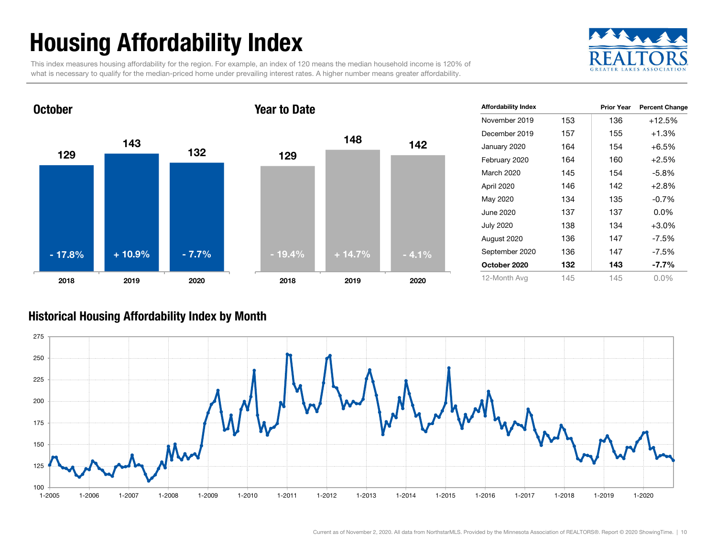## Housing Affordability Index

This index measures housing affordability for the region. For example, an index of 120 means the median household income is 120% of what is necessary to qualify for the median-priced home under prevailing interest rates. A higher number means greater affordability.





| <b>Affordability Index</b> |     | <b>Prior Year</b> | <b>Percent Change</b> |
|----------------------------|-----|-------------------|-----------------------|
| November 2019              | 153 | 136               | $+12.5%$              |
| December 2019              | 157 | 155               | $+1.3%$               |
| January 2020               | 164 | 154               | $+6.5%$               |
| February 2020              | 164 | 160               | $+2.5%$               |
| March 2020                 | 145 | 154               | $-5.8%$               |
| April 2020                 | 146 | 142               | $+2.8%$               |
| May 2020                   | 134 | 135               | $-0.7%$               |
| June 2020                  | 137 | 137               | $0.0\%$               |
| <b>July 2020</b>           | 138 | 134               | $+3.0%$               |
| August 2020                | 136 | 147               | -7.5%                 |
| September 2020             | 136 | 147               | $-7.5\%$              |
| October 2020               | 132 | 143               | -7.7%                 |
| 12-Month Avg               | 145 | 145               | $0.0\%$               |

#### Historical Housing Affordability Index by Mont h

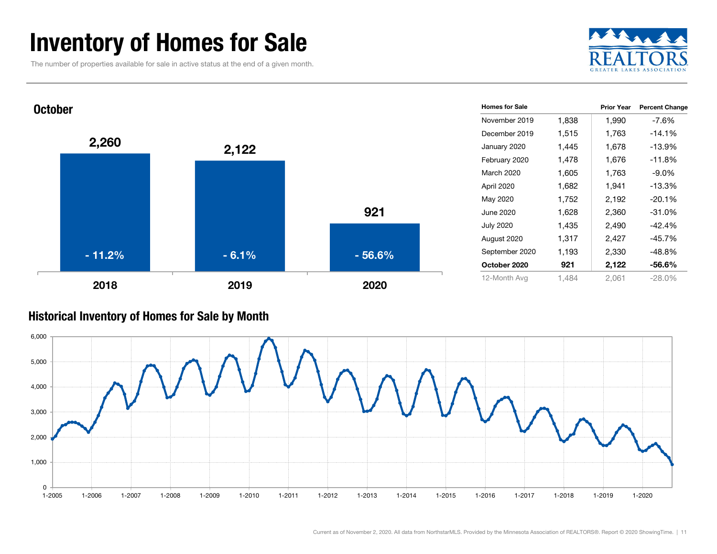### Inventory of Homes for Sale

The number of properties available for sale in active status at the end of a given month.





#### Historical Inventory of Homes for Sale by Month

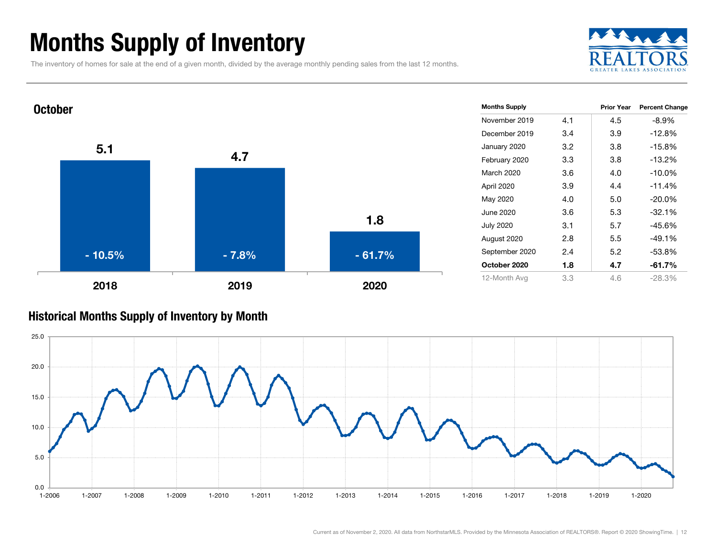### Months Supply of Inventory

The inventory of homes for sale at the end of a given month, divided by the average monthly pending sales from the last 12 months.





#### Historical Months Supply of Inventory by Month